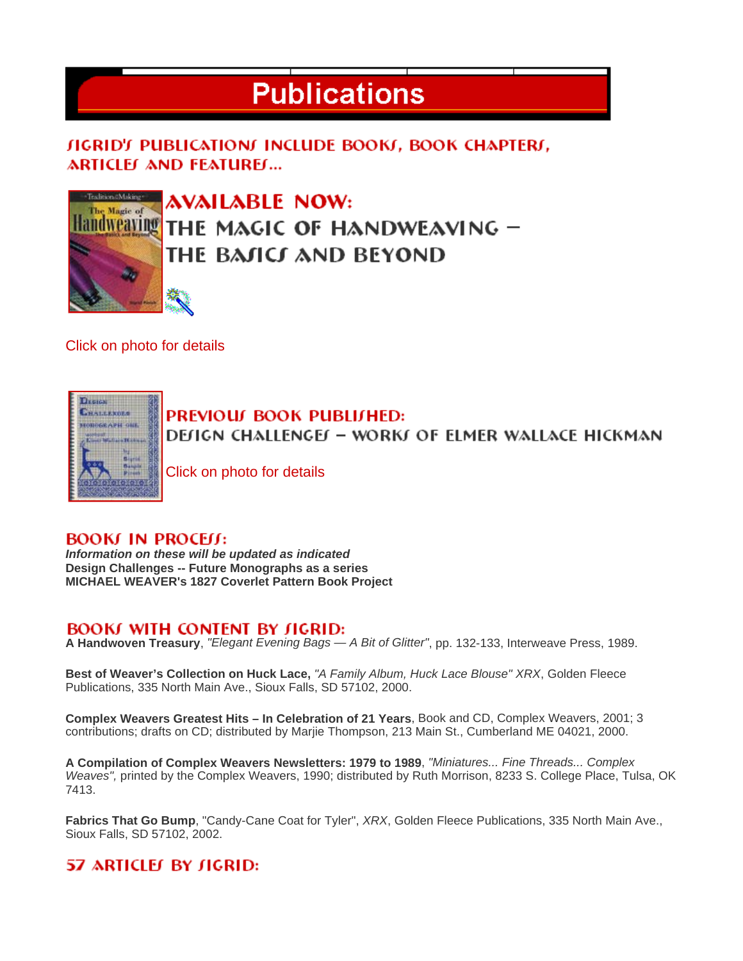# **Publications**

**JIGRID'S PUBLICATIONS INCLUDE BOOKS, BOOK CHAPTERS, ARTICLEJ AND FEATUREJ...** 



AVAILABLE NOW: THE MAGIC OF HANDWEAVING – THE BAJICI AND BEYOND

Click on photo for details



PREVIOUL BOOK PUBLILHED:

**DEfIGN CHALLENGEF - WORKF OF ELMER WALLACE HICKMAN** 

Click on photo for details

#### **BOOKJ IN PROCELL:**

*Information on these will be updated as indicated* **Design Challenges -- Future Monographs as a series MICHAEL WEAVER's 1827 Coverlet Pattern Book Project**

### **BOOKI WITH CONTENT BY JIGRID:**

**A Handwoven Treasury**, *"Elegant Evening Bags — A Bit of Glitter"*, pp. 132-133, Interweave Press, 1989.

**Best of Weaver's Collection on Huck Lace,** *"A Family Album, Huck Lace Blouse" XRX*, Golden Fleece Publications, 335 North Main Ave., Sioux Falls, SD 57102, 2000.

**Complex Weavers Greatest Hits – In Celebration of 21 Years**, Book and CD, Complex Weavers, 2001; 3 contributions; drafts on CD; distributed by Marjie Thompson, 213 Main St., Cumberland ME 04021, 2000.

**A Compilation of Complex Weavers Newsletters: 1979 to 1989**, *"Miniatures... Fine Threads... Complex Weaves",* printed by the Complex Weavers, 1990; distributed by Ruth Morrison, 8233 S. College Place, Tulsa, OK 7413.

**Fabrics That Go Bump**, "Candy-Cane Coat for Tyler", *XRX*, Golden Fleece Publications, 335 North Main Ave., Sioux Falls, SD 57102, 2002.

## 57 ARTICLES BY SIGRID: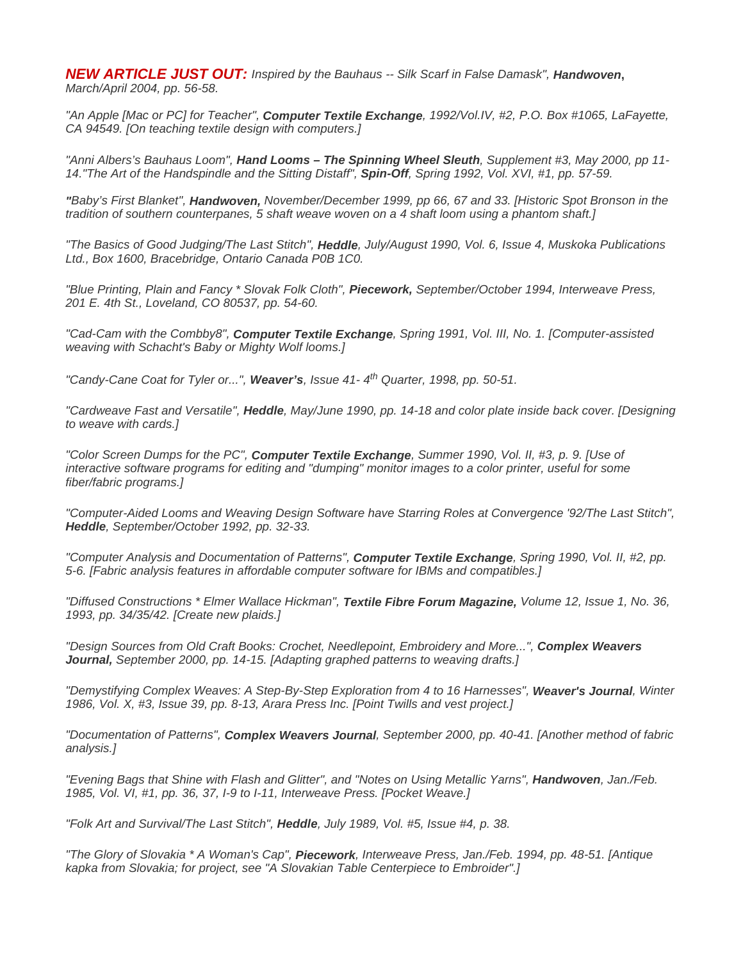*NEW ARTICLE JUST OUT: Inspired by the Bauhaus -- Silk Scarf in False Damask", Handwoven***,** *March/April 2004, pp. 56-58.* 

*"An Apple [Mac or PC] for Teacher", Computer Textile Exchange, 1992/Vol.IV, #2, P.O. Box #1065, LaFayette, CA 94549. [On teaching textile design with computers.]*

*"Anni Albers's Bauhaus Loom", Hand Looms – The Spinning Wheel Sleuth, Supplement #3, May 2000, pp 11- 14."The Art of the Handspindle and the Sitting Distaff", Spin-Off, Spring 1992, Vol. XVI, #1, pp. 57-59.* 

*"Baby's First Blanket", Handwoven, November/December 1999, pp 66, 67 and 33. [Historic Spot Bronson in the tradition of southern counterpanes, 5 shaft weave woven on a 4 shaft loom using a phantom shaft.]*

*"The Basics of Good Judging/The Last Stitch", Heddle, July/August 1990, Vol. 6, Issue 4, Muskoka Publications Ltd., Box 1600, Bracebridge, Ontario Canada P0B 1C0.* 

*"Blue Printing, Plain and Fancy \* Slovak Folk Cloth", Piecework, September/October 1994, Interweave Press, 201 E. 4th St., Loveland, CO 80537, pp. 54-60.* 

*"Cad-Cam with the Combby8", Computer Textile Exchange, Spring 1991, Vol. III, No. 1. [Computer-assisted weaving with Schacht's Baby or Mighty Wolf looms.]* 

*"Candy-Cane Coat for Tyler or...", Weaver's, Issue 41- 4th Quarter, 1998, pp. 50-51.*

*"Cardweave Fast and Versatile", Heddle, May/June 1990, pp. 14-18 and color plate inside back cover. [Designing to weave with cards.]* 

*"Color Screen Dumps for the PC", Computer Textile Exchange, Summer 1990, Vol. II, #3, p. 9. [Use of interactive software programs for editing and "dumping" monitor images to a color printer, useful for some fiber/fabric programs.]* 

*"Computer-Aided Looms and Weaving Design Software have Starring Roles at Convergence '92/The Last Stitch", Heddle, September/October 1992, pp. 32-33.* 

*"Computer Analysis and Documentation of Patterns", Computer Textile Exchange, Spring 1990, Vol. II, #2, pp. 5-6. [Fabric analysis features in affordable computer software for IBMs and compatibles.]* 

*"Diffused Constructions \* Elmer Wallace Hickman", Textile Fibre Forum Magazine, Volume 12, Issue 1, No. 36, 1993, pp. 34/35/42. [Create new plaids.]* 

*"Design Sources from Old Craft Books: Crochet, Needlepoint, Embroidery and More...", Complex Weavers Journal, September 2000, pp. 14-15. [Adapting graphed patterns to weaving drafts.]* 

*"Demystifying Complex Weaves: A Step-By-Step Exploration from 4 to 16 Harnesses", Weaver's Journal, Winter 1986, Vol. X, #3, Issue 39, pp. 8-13, Arara Press Inc. [Point Twills and vest project.]* 

*"Documentation of Patterns", Complex Weavers Journal, September 2000, pp. 40-41. [Another method of fabric analysis.]* 

*"Evening Bags that Shine with Flash and Glitter", and "Notes on Using Metallic Yarns", Handwoven, Jan./Feb. 1985, Vol. VI, #1, pp. 36, 37, I-9 to I-11, Interweave Press. [Pocket Weave.]* 

*"Folk Art and Survival/The Last Stitch", Heddle, July 1989, Vol. #5, Issue #4, p. 38.* 

*"The Glory of Slovakia \* A Woman's Cap", Piecework, Interweave Press, Jan./Feb. 1994, pp. 48-51. [Antique kapka from Slovakia; for project, see "A Slovakian Table Centerpiece to Embroider".]*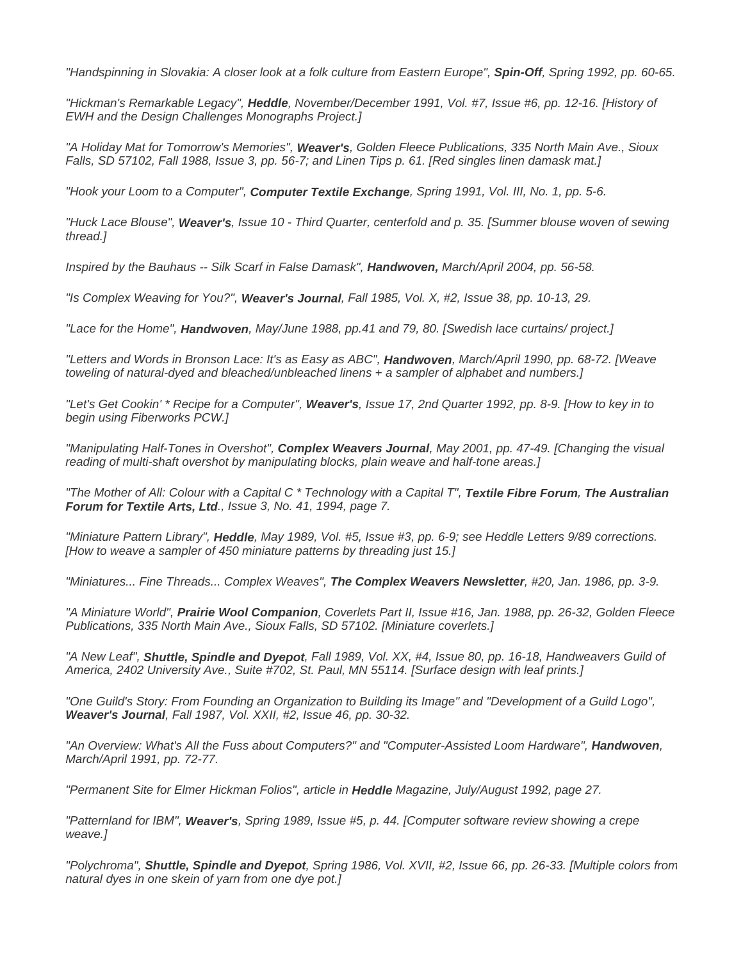*"Handspinning in Slovakia: A closer look at a folk culture from Eastern Europe", Spin-Off, Spring 1992, pp. 60-65.* 

*"Hickman's Remarkable Legacy", Heddle, November/December 1991, Vol. #7, Issue #6, pp. 12-16. [History of EWH and the Design Challenges Monographs Project.]* 

*"A Holiday Mat for Tomorrow's Memories", Weaver's, Golden Fleece Publications, 335 North Main Ave., Sioux Falls, SD 57102, Fall 1988, Issue 3, pp. 56-7; and Linen Tips p. 61. [Red singles linen damask mat.]* 

*"Hook your Loom to a Computer", Computer Textile Exchange, Spring 1991, Vol. III, No. 1, pp. 5-6.* 

*"Huck Lace Blouse", Weaver's, Issue 10 - Third Quarter, centerfold and p. 35. [Summer blouse woven of sewing thread.]* 

*Inspired by the Bauhaus -- Silk Scarf in False Damask", Handwoven, March/April 2004, pp. 56-58.* 

*"Is Complex Weaving for You?", Weaver's Journal, Fall 1985, Vol. X, #2, Issue 38, pp. 10-13, 29.* 

*"Lace for the Home", Handwoven, May/June 1988, pp.41 and 79, 80. [Swedish lace curtains/ project.]* 

*"Letters and Words in Bronson Lace: It's as Easy as ABC", Handwoven, March/April 1990, pp. 68-72. [Weave toweling of natural-dyed and bleached/unbleached linens + a sampler of alphabet and numbers.]* 

*"Let's Get Cookin' \* Recipe for a Computer", Weaver's, Issue 17, 2nd Quarter 1992, pp. 8-9. [How to key in to begin using Fiberworks PCW.]* 

*"Manipulating Half-Tones in Overshot", Complex Weavers Journal, May 2001, pp. 47-49. [Changing the visual reading of multi-shaft overshot by manipulating blocks, plain weave and half-tone areas.]* 

*"The Mother of All: Colour with a Capital C \* Technology with a Capital T", Textile Fibre Forum, The Australian Forum for Textile Arts, Ltd., Issue 3, No. 41, 1994, page 7.* 

*"Miniature Pattern Library", Heddle, May 1989, Vol. #5, Issue #3, pp. 6-9; see Heddle Letters 9/89 corrections. [How to weave a sampler of 450 miniature patterns by threading just 15.]* 

*"Miniatures... Fine Threads... Complex Weaves", The Complex Weavers Newsletter, #20, Jan. 1986, pp. 3-9.* 

*"A Miniature World", Prairie Wool Companion, Coverlets Part II, Issue #16, Jan. 1988, pp. 26-32, Golden Fleece Publications, 335 North Main Ave., Sioux Falls, SD 57102. [Miniature coverlets.]* 

*"A New Leaf", Shuttle, Spindle and Dyepot, Fall 1989, Vol. XX, #4, Issue 80, pp. 16-18, Handweavers Guild of America, 2402 University Ave., Suite #702, St. Paul, MN 55114. [Surface design with leaf prints.]* 

*"One Guild's Story: From Founding an Organization to Building its Image" and "Development of a Guild Logo", Weaver's Journal, Fall 1987, Vol. XXII, #2, Issue 46, pp. 30-32.* 

"An Overview: What's All the Fuss about Computers?" and "Computer-Assisted Loom Hardware", **Handwoven**, *March/April 1991, pp. 72-77.* 

*"Permanent Site for Elmer Hickman Folios", article in Heddle Magazine, July/August 1992, page 27.* 

*"Patternland for IBM", Weaver's, Spring 1989, Issue #5, p. 44. [Computer software review showing a crepe weave.]* 

*"Polychroma", Shuttle, Spindle and Dyepot, Spring 1986, Vol. XVII, #2, Issue 66, pp. 26-33. [Multiple colors from natural dyes in one skein of yarn from one dye pot.]*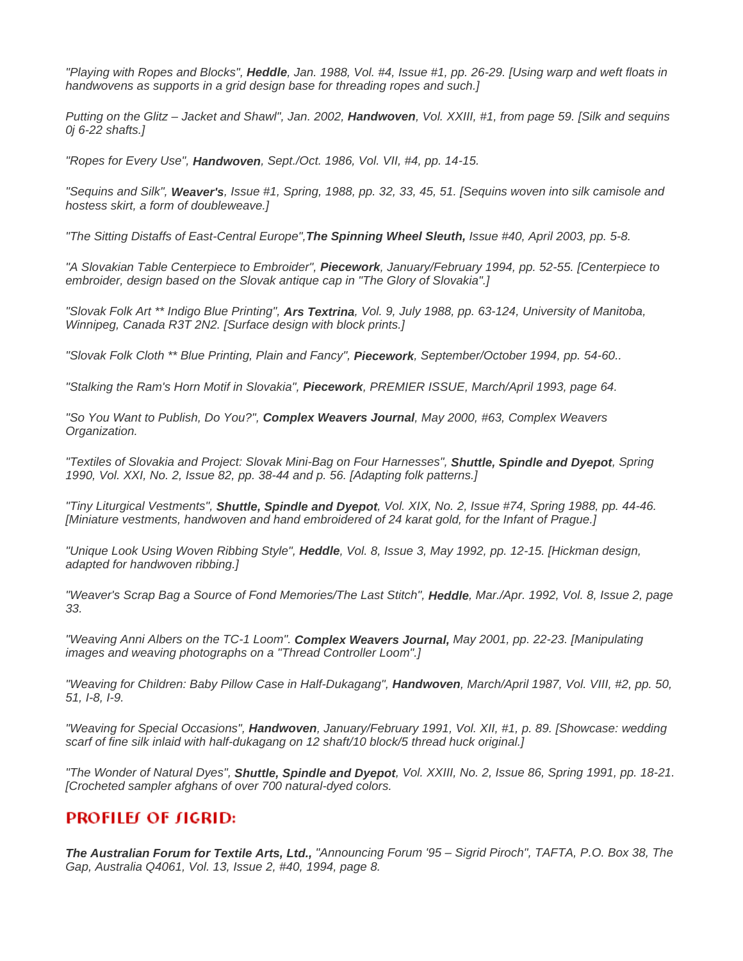*"Playing with Ropes and Blocks", Heddle, Jan. 1988, Vol. #4, Issue #1, pp. 26-29. [Using warp and weft floats in handwovens as supports in a grid design base for threading ropes and such.]* 

*Putting on the Glitz – Jacket and Shawl", Jan. 2002, Handwoven, Vol. XXIII, #1, from page 59. [Silk and sequins 0j 6-22 shafts.]* 

*"Ropes for Every Use", Handwoven, Sept./Oct. 1986, Vol. VII, #4, pp. 14-15.* 

*"Sequins and Silk", Weaver's, Issue #1, Spring, 1988, pp. 32, 33, 45, 51. [Sequins woven into silk camisole and hostess skirt, a form of doubleweave.]* 

*"The Sitting Distaffs of East-Central Europe",The Spinning Wheel Sleuth, Issue #40, April 2003, pp. 5-8.* 

*"A Slovakian Table Centerpiece to Embroider", Piecework, January/February 1994, pp. 52-55. [Centerpiece to embroider, design based on the Slovak antique cap in "The Glory of Slovakia".]* 

*"Slovak Folk Art \*\* Indigo Blue Printing", Ars Textrina, Vol. 9, July 1988, pp. 63-124, University of Manitoba, Winnipeg, Canada R3T 2N2. [Surface design with block prints.]* 

*"Slovak Folk Cloth \*\* Blue Printing, Plain and Fancy", Piecework, September/October 1994, pp. 54-60..* 

*"Stalking the Ram's Horn Motif in Slovakia", Piecework, PREMIER ISSUE, March/April 1993, page 64.* 

*"So You Want to Publish, Do You?", Complex Weavers Journal, May 2000, #63, Complex Weavers Organization.* 

*"Textiles of Slovakia and Project: Slovak Mini-Bag on Four Harnesses", Shuttle, Spindle and Dyepot, Spring 1990, Vol. XXI, No. 2, Issue 82, pp. 38-44 and p. 56. [Adapting folk patterns.]* 

*"Tiny Liturgical Vestments", Shuttle, Spindle and Dyepot, Vol. XIX, No. 2, Issue #74, Spring 1988, pp. 44-46. [Miniature vestments, handwoven and hand embroidered of 24 karat gold, for the Infant of Prague.]* 

*"Unique Look Using Woven Ribbing Style", Heddle, Vol. 8, Issue 3, May 1992, pp. 12-15. [Hickman design, adapted for handwoven ribbing.]* 

*"Weaver's Scrap Bag a Source of Fond Memories/The Last Stitch", Heddle, Mar./Apr. 1992, Vol. 8, Issue 2, page 33.* 

*"Weaving Anni Albers on the TC-1 Loom". Complex Weavers Journal, May 2001, pp. 22-23. [Manipulating images and weaving photographs on a "Thread Controller Loom".]* 

*"Weaving for Children: Baby Pillow Case in Half-Dukagang", Handwoven, March/April 1987, Vol. VIII, #2, pp. 50, 51, I-8, I-9.* 

*"Weaving for Special Occasions", Handwoven, January/February 1991, Vol. XII, #1, p. 89. [Showcase: wedding scarf of fine silk inlaid with half-dukagang on 12 shaft/10 block/5 thread huck original.]* 

*"The Wonder of Natural Dyes", Shuttle, Spindle and Dyepot, Vol. XXIII, No. 2, Issue 86, Spring 1991, pp. 18-21. [Crocheted sampler afghans of over 700 natural-dyed colors.* 

#### **PROFILEI OF JIGRID:**

*The Australian Forum for Textile Arts, Ltd., "Announcing Forum '95 – Sigrid Piroch", TAFTA, P.O. Box 38, The Gap, Australia Q4061, Vol. 13, Issue 2, #40, 1994, page 8.*